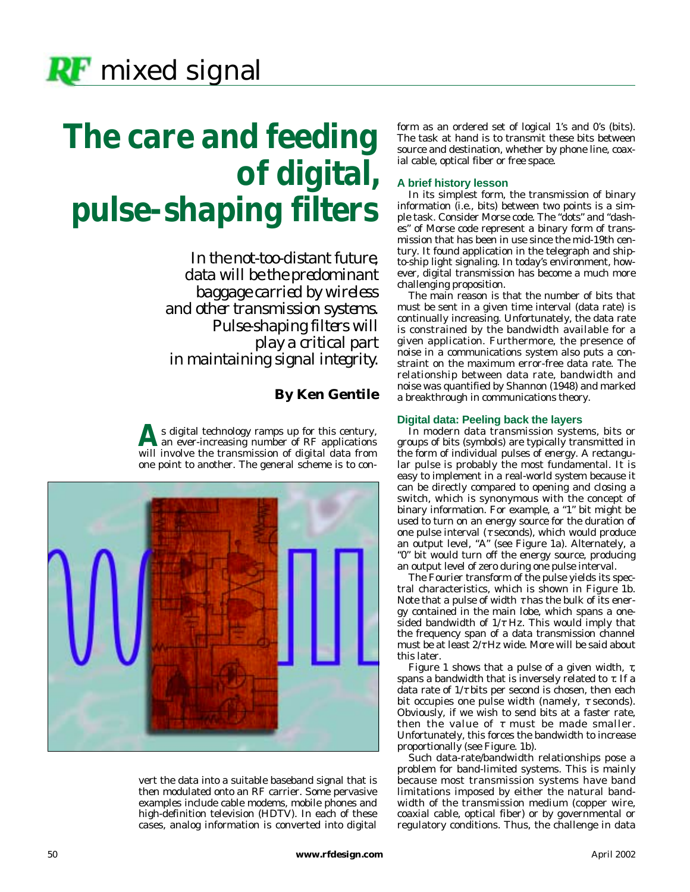# **The care and feeding of digital, pulse-shaping filters**

*In the not-too-distant future, data will be the predominant baggage carried by wireless and other transmission systems. Pulse-shaping filters will play a critical part in maintaining signal integrity.*

## **By Ken Gentile**

**A**s digital technology ramps up for this century, an ever-increasing number of RF applications will involve the transmission of digital data from one point to another. The general scheme is to con-



vert the data into a suitable baseband signal that is then modulated onto an RF carrier. Some pervasive examples include cable modems, mobile phones and high-definition television (HDTV). In each of these cases, analog information is converted into digital

form as an ordered set of logical 1's and 0's (bits). The task at hand is to transmit these bits between source and destination, whether by phone line, coaxial cable, optical fiber or free space.

## **A brief history lesson**

In its simplest form, the transmission of binary information (i.e., bits) between two points is a simple task. Consider Morse code. The "dots" and "dashes" of Morse code represent a binary form of transmission that has been in use since the mid-19th century. It found application in the telegraph and shipto-ship light signaling. In today's environment, however, digital transmission has become a much more challenging proposition.

The main reason is that the number of bits that must be sent in a given time interval (data rate) is continually increasing. Unfortunately, the data rate is constrained by the bandwidth available for a given application. Furthermore, the presence of noise in a communications system also puts a constraint on the maximum error-free data rate. The relationship between data rate, bandwidth and noise was quantified by Shannon (1948) and marked a breakthrough in communications theory.

#### **Digital data: Peeling back the layers**

In modern data transmission systems, bits or groups of bits (symbols) are typically transmitted in the form of individual pulses of energy. A rectangular pulse is probably the most fundamental. It is easy to implement in a real-world system because it can be directly compared to opening and closing a switch, which is synonymous with the concept of binary information. For example, a "1" bit might be used to turn on an energy source for the duration of one pulse interval ( $\tau$  seconds), which would produce an output level, "A" (see Figure 1a). Alternately, a "0" bit would turn off the energy source, producing an output level of zero during one pulse interval.

The Fourier transform of the pulse yields its spectral characteristics, which is shown in Figure 1b. Note that a pulse of width  $\tau$  has the bulk of its energy contained in the main lobe, which spans a onesided bandwidth of  $1/\tau$  Hz. This would imply that the frequency span of a data transmission channel must be at least  $2/\tau$  Hz wide. More will be said about this later.

Figure 1 shows that a pulse of a given width,  $\tau$ , spans a bandwidth that is inversely related to  $\tau$ . If a data rate of  $1/\tau$  bits per second is chosen, then each bit occupies one pulse width (namely,  $\tau$  seconds). Obviously, if we wish to send bits at a faster rate, then the value of  $\tau$  must be made smaller. Unfortunately, this forces the bandwidth to increase proportionally (see Figure. 1b).

Such data-rate/bandwidth relationships pose a problem for band-limited systems. This is mainly because most transmission systems have band limitations imposed by either the natural bandwidth of the transmission medium (copper wire, coaxial cable, optical fiber) or by governmental or regulatory conditions. Thus, the challenge in data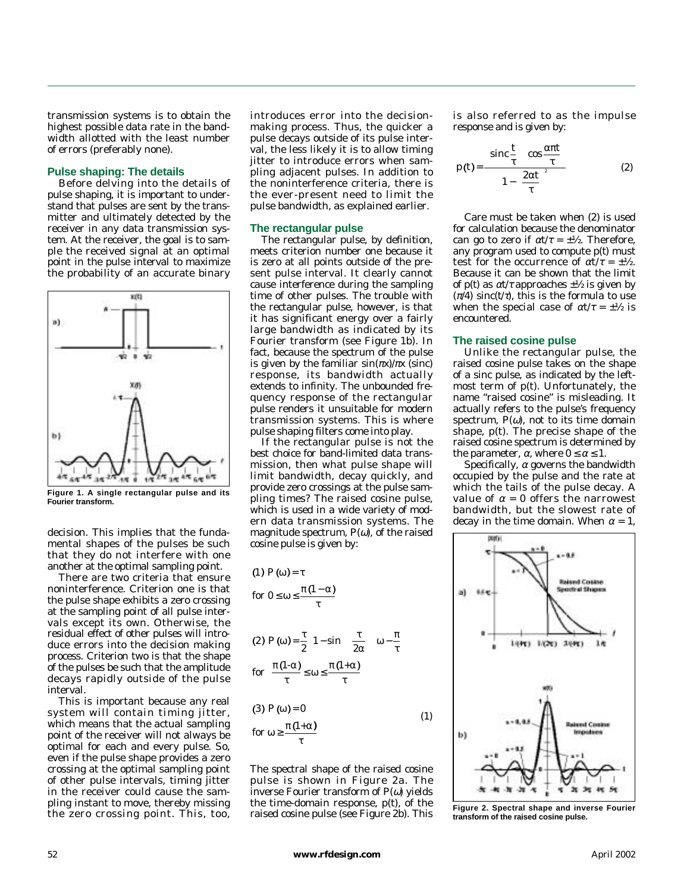transmission systems is to obtain the highest possible data rate in the bandwidth allotted with the least number of errors (preferably none).

#### **Pulse shaping: The details**

Before delving into the details of pulse shaping, it is important to understand that pulses are sent by the transmitter and ultimately detected by the receiver in any data transmission system. At the receiver, the goal is to sample the received signal at an optimal point in the pulse interval to maximize the probability of an accurate binary



**Figure 1. A single rectangular pulse and its Fourier transform.**

decision. This implies that the fundamental shapes of the pulses be such that they do not interfere with one another at the optimal sampling point.

There are two criteria that ensure noninterference. Criterion one is that the pulse shape exhibits a zero crossing at the sampling point of all pulse intervals except its own. Otherwise, the residual effect of other pulses will introduce errors into the decision making process. Criterion two is that the shape of the pulses be such that the amplitude decays rapidly outside of the pulse interval.

This is important because any real system will contain timing jitter, which means that the actual sampling point of the receiver will not always be optimal for each and every pulse. So, even if the pulse shape provides a zero crossing at the optimal sampling point of other pulse intervals, timing jitter in the receiver could cause the sampling instant to move, thereby missing the zero crossing point. This, too,

introduces error into the decisionmaking process. Thus, the quicker a pulse decays outside of its pulse interval, the less likely it is to allow timing jitter to introduce errors when sampling adjacent pulses. In addition to the noninterference criteria, there is the ever-present need to limit the pulse bandwidth, as explained earlier.

#### **The rectangular pulse**

The rectangular pulse, by definition, meets criterion number one because it is zero at all points outside of the present pulse interval. It clearly cannot cause interference during the sampling time of other pulses. The trouble with the rectangular pulse, however, is that it has significant energy over a fairly large bandwidth as indicated by its Fourier transform (see Figure 1b). In fact, because the spectrum of the pulse is given by the familiar  $sin(\pi x)/\pi x$  (sinc) response, its bandwidth actually extends to infinity. The unbounded frequency response of the rectangular pulse renders it unsuitable for modern transmission systems. This is where pulse shaping filters come into play.

If the rectangular pulse is not the best choice for band-limited data transmission, then what pulse shape will limit bandwidth, decay quickly, and provide zero crossings at the pulse sampling times? The raised cosine pulse, which is used in a wide variety of modern data transmission systems. The magnitude spectrum, *P*(ω), of the raised cosine pulse is given by:

(1) 
$$
P(\omega) = \tau
$$
  
\nfor  $0 \le \omega \le \frac{\pi(1-\alpha)}{\tau}$   
\n(2)  $P(\omega) = \frac{\tau}{2} \left( 1 - \sin\left( \left( \frac{\tau}{2\alpha} \right) \left( \omega - \frac{\pi}{\tau} \right) \right) \right)$   
\nfor  $\frac{\pi(1-\alpha)}{\tau} \le \omega \le \frac{\pi(1+\alpha)}{\tau}$   
\n(3)  $P(\omega) = 0$   
\nfor  $\omega \ge \frac{\pi(1+\alpha)}{\tau}$  (1)

The spectral shape of the raised cosine pulse is shown in Figure 2a. The inverse Fourier transform of  $P(\omega)$  yields the time-domain response, *p*(*t*), of the raised cosine pulse (see Figure 2b). This is also referred to as the impulse response and is given by:

$$
p(t) = \frac{\left(\operatorname{sinc}\frac{t}{\tau}\right)\left(\cos\frac{\alpha\pi t}{\tau}\right)}{1-\left(\frac{2\alpha t}{\tau}\right)^2}
$$
(2)

Care must be taken when (2) is used for calculation because the denominator can go to zero if  $\alpha t/\tau = \pm 1/2$ . Therefore, any program used to compute *p*(*t*) must test for the occurrence of  $\alpha t/\tau = \pm \frac{1}{2}$ . Because it can be shown that the limit of  $p(t)$  as  $\alpha t/\tau$  approaches  $\pm \frac{1}{2}$  is given by  $(\pi/4)$  sin $c(t)\tau$ , this is the formula to use when the special case of  $\alpha t/\tau = \pm \frac{1}{2}$  is encountered.

#### **The raised cosine pulse**

Unlike the rectangular pulse, the raised cosine pulse takes on the shape of a sinc pulse, as indicated by the leftmost term of *p*(*t*). Unfortunately, the name "raised cosine" is misleading. It actually refers to the pulse's frequency spectrum,  $P(\omega)$ , not to its time domain shape, *p*(*t*). The precise shape of the raised cosine spectrum is determined by the parameter,  $\alpha$ , where  $0 \le \alpha \le 1$ .

Specifically,  $\alpha$  governs the bandwidth occupied by the pulse and the rate at which the tails of the pulse decay. A value of  $\alpha = 0$  offers the narrowest bandwidth, but the slowest rate of decay in the time domain. When  $\alpha = 1$ ,



**Figure 2. Spectral shape and inverse Fourier transform of the raised cosine pulse.**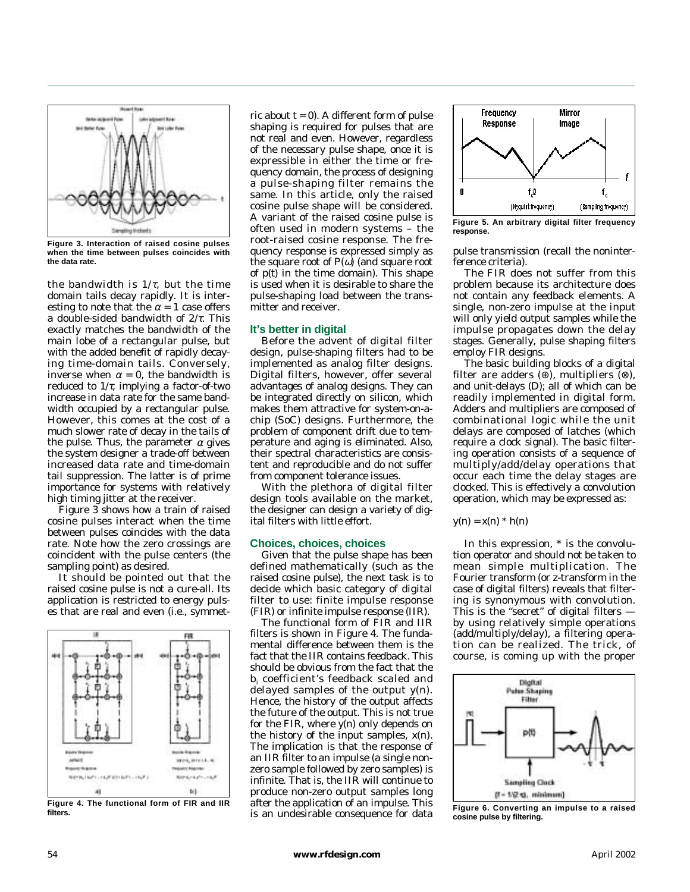

**Figure 3. Interaction of raised cosine pulses when the time between pulses coincides with the data rate.**

the bandwidth is  $1/\tau$ , but the time domain tails decay rapidly. It is interesting to note that the  $\alpha = 1$  case offers a double-sided bandwidth of  $2/\tau$ . This exactly matches the bandwidth of the main lobe of a rectangular pulse, but with the added benefit of rapidly decaying time-domain tails. Conversely, inverse when  $\alpha = 0$ , the bandwidth is reduced to  $1/\tau$ , implying a factor-of-two increase in data rate for the same bandwidth occupied by a rectangular pulse. However, this comes at the cost of a much slower rate of decay in the tails of the pulse. Thus, the parameter  $\alpha$  gives the system designer a trade-off between increased data rate and time-domain tail suppression. The latter is of prime importance for systems with relatively high timing jitter at the receiver.

Figure 3 shows how a train of raised cosine pulses interact when the time between pulses coincides with the data rate. Note how the zero crossings are coincident with the pulse centers (the sampling point) as desired.

It should be pointed out that the raised cosine pulse is not a cure-all. Its application is restricted to energy pulses that are real and even (i.e., symmet-



**Figure 4. The functional form of FIR and IIR** 

ric about  $t = 0$ ). A different form of pulse shaping is required for pulses that are not real and even. However, regardless of the necessary pulse shape, once it is expressible in either the time or frequency domain, the process of designing a pulse-shaping filter remains the same. In this article, only the raised cosine pulse shape will be considered. A variant of the raised cosine pulse is often used in modern systems – the root-raised cosine response. The frequency response is expressed simply as the square root of *P*(ω) (and square root of  $p(t)$  in the time domain). This shape is used when it is desirable to share the pulse-shaping load between the transmitter and receiver.

#### **It's better in digital**

Before the advent of digital filter design, pulse-shaping filters had to be implemented as analog filter designs. Digital filters, however, offer several advantages of analog designs. They can be integrated directly on silicon, which makes them attractive for system-on-achip (SoC) designs. Furthermore, the problem of component drift due to temperature and aging is eliminated. Also, their spectral characteristics are consistent and reproducible and do not suffer from component tolerance issues.

With the plethora of digital filter design tools available on the market, the designer can design a variety of digital filters with little effort.

#### **Choices, choices, choices**

Given that the pulse shape has been defined mathematically (such as the raised cosine pulse), the next task is to decide which basic category of digital filter to use: finite impulse response (FIR) or infinite impulse response (IIR).

The functional form of FIR and IIR filters is shown in Figure 4. The fundamental difference between them is the fact that the IIR contains feedback. This should be obvious from the fact that the bi coefficient's feedback scaled and delayed samples of the output *y*(*n*). Hence, the history of the output affects the future of the output. This is not true for the FIR, where *y*(*n)* only depends on the history of the input samples, *x*(*n*). The implication is that the response of an IIR filter to an impulse (a single nonzero sample followed by zero samples) is infinite. That is, the IIR will continue to produce non-zero output samples long after the application of an impulse. This



**Figure 5. An arbitrary digital filter frequency response.**

pulse transmission (recall the noninterference criteria).

The FIR does not suffer from this problem because its architecture does not contain any feedback elements. A single, non-zero impulse at the input will only yield output samples while the impulse propagates down the delay stages. Generally, pulse shaping filters employ FIR designs.

The basic building blocks of a digital filter are adders (⊕), multipliers (⊗), and unit-delays (*D*); all of which can be readily implemented in digital form. Adders and multipliers are composed of combinational logic while the unit delays are composed of latches (which require a clock signal). The basic filtering operation consists of a sequence of multiply/add/delay operations that occur each time the delay stages are clocked. This is effectively a convolution operation, which may be expressed as:

#### $y(n) = x(n) * h(n)$

In this expression, \* is the convolution operator and should not be taken to mean simple multiplication. The Fourier transform (or z-transform in the case of digital filters) reveals that filtering is synonymous with convolution. This is the "secret" of digital filters by using relatively simple operations (add/multiply/delay), a filtering operation can be realized. The trick, of course, is coming up with the proper



is an undesirable consequence for data **filters. Figure 6. Converting an impulse to a raised cosine pulse by filtering.**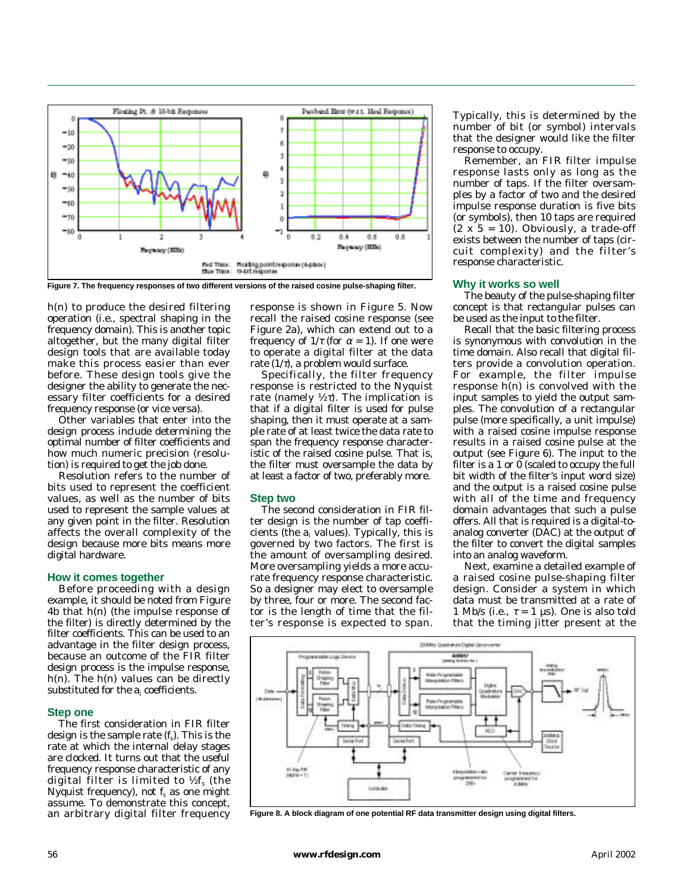

**Figure 7. The frequency responses of two different versions of the raised cosine pulse-shaping filter.**

*h*(*n)* to produce the desired filtering operation (i.e., spectral shaping in the frequency domain). This is another topic altogether, but the many digital filter design tools that are available today make this process easier than ever before. These design tools give the designer the ability to generate the necessary filter coefficients for a desired frequency response (or vice versa).

Other variables that enter into the design process include determining the optimal number of filter coefficients and how much numeric precision (resolution) is required to get the job done.

Resolution refers to the number of bits used to represent the coefficient values, as well as the number of bits used to represent the sample values at any given point in the filter. Resolution affects the overall complexity of the design because more bits means more digital hardware.

#### **How it comes together**

Before proceeding with a design example, it should be noted from Figure 4b that *h*(*n*) (the impulse response of the filter) is directly determined by the filter coefficients. This can be used to an advantage in the filter design process, because an outcome of the FIR filter design process is the impulse response, *h(n)*. The *h(n*) values can be directly substituted for the *a*<sup>i</sup> coefficients.

#### **Step one**

The first consideration in FIR filter design is the sample rate  $(f_s)$ . This is the rate at which the internal delay stages are clocked. It turns out that the useful frequency response characteristic of any digital filter is limited to ½*f*<sup>s</sup> (the Nyquist frequency), not  $f_s$  as one might assume. To demonstrate this concept, an arbitrary digital filter frequency

response is shown in Figure 5. Now recall the raised cosine response (see Figure 2a), which can extend out to a frequency of  $1/\tau$  (for  $\alpha = 1$ ). If one were to operate a digital filter at the data rate  $(1/\tau)$ , a problem would surface.

Specifically, the filter frequency response is restricted to the Nyquist rate (namely  $\frac{1}{2} \tau$ ). The implication is that if a digital filter is used for pulse shaping, then it must operate at a sample rate of at least twice the data rate to span the frequency response characteristic of the raised cosine pulse. That is, the filter must oversample the data by at least a factor of two, preferably more.

#### **Step two**

The second consideration in FIR filter design is the number of tap coefficients (the *a*<sup>i</sup> values). Typically, this is governed by two factors. The first is the amount of oversampling desired. More oversampling yields a more accurate frequency response characteristic. So a designer may elect to oversample by three, four or more. The second factor is the length of time that the filter's response is expected to span.

Typically, this is determined by the number of bit (or symbol) intervals that the designer would like the filter response to occupy.

Remember, an FIR filter impulse response lasts only as long as the number of taps. If the filter oversamples by a factor of two and the desired impulse response duration is five bits (or symbols), then 10 taps are required  $(2 \times 5 = 10)$ . Obviously, a trade-off exists between the number of taps (circuit complexity) and the filter's response characteristic.

#### **Why it works so well**

The beauty of the pulse-shaping filter concept is that rectangular pulses can be used as the input to the filter.

Recall that the basic filtering process is synonymous with convolution in the time domain. Also recall that digital filters provide a convolution operation. For example, the filter impulse response *h*(*n*) is convolved with the input samples to yield the output samples. The convolution of a rectangular pulse (more specifically, a unit impulse) with a raised cosine impulse response results in a raised cosine pulse at the output (see Figure 6). The input to the filter is a 1 or 0 (scaled to occupy the full bit width of the filter's input word size) and the output is a raised cosine pulse with all of the time and frequency domain advantages that such a pulse offers. All that is required is a digital-toanalog converter (DAC) at the output of the filter to convert the digital samples into an analog waveform.

Next, examine a detailed example of a raised cosine pulse-shaping filter design. Consider a system in which data must be transmitted at a rate of 1 Mb/s (i.e.,  $\tau = 1$  µs). One is also told that the timing jitter present at the



**Figure 8. A block diagram of one potential RF data transmitter design using digital filters.**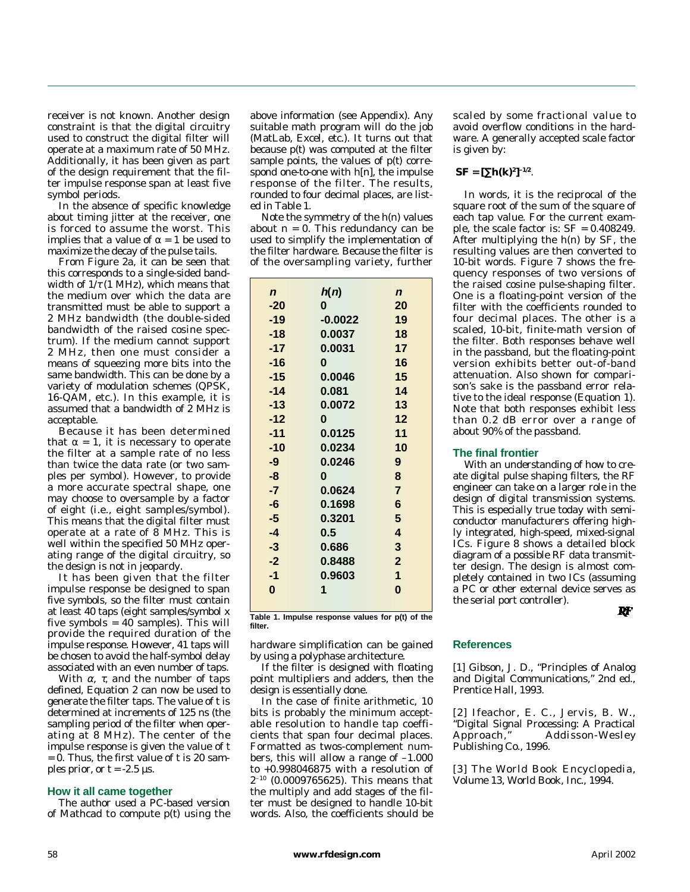receiver is not known. Another design constraint is that the digital circuitry used to construct the digital filter will operate at a maximum rate of 50 MHz. Additionally, it has been given as part of the design requirement that the filter impulse response span at least five symbol periods.

In the absence of specific knowledge about timing jitter at the receiver, one is forced to assume the worst. This implies that a value of  $α = 1$  be used to maximize the decay of the pulse tails.

From Figure 2a, it can be seen that this corresponds to a single-sided bandwidth of  $1/\tau$  (1 MHz), which means that the medium over which the data are transmitted must be able to support a 2 MHz bandwidth (the double-sided bandwidth of the raised cosine spectrum). If the medium cannot support 2 MHz, then one must consider a means of squeezing more bits into the same bandwidth. This can be done by a variety of modulation schemes (QPSK, 16-QAM, etc.). In this example, it is assumed that a bandwidth of 2 MHz is acceptable.

Because it has been determined that  $\alpha = 1$ , it is necessary to operate the filter at a sample rate of no less than twice the data rate (or two samples per symbol). However, to provide a more accurate spectral shape, one may choose to oversample by a factor of eight (i.e., eight samples/symbol). This means that the digital filter must operate at a rate of  $\overline{8}$  MHz. This is well within the specified 50 MHz operating range of the digital circuitry, so the design is not in jeopardy.

It has been given that the filter impulse response be designed to span five symbols, so the filter must contain at least 40 taps (eight samples/symbol x five symbols = 40 samples). This will provide the required duration of the impulse response. However, 41 taps will be chosen to avoid the half-symbol delay associated with an even number of taps.

With  $\alpha$ ,  $\tau$ , and the number of taps defined, Equation 2 can now be used to generate the filter taps. The value of *t* is determined at increments of 125 ns (the sampling period of the filter when operating at 8 MHz). The center of the impulse response is given the value of *t* = 0. Thus, the first value of *t* is 20 samples prior, or  $t = -2.5 \,\mu s$ .

### **How it all came together**

The author used a PC-based version of Mathcad to compute *p(t)* using the

above information (see Appendix). Any suitable math program will do the job (MatLab, Excel, etc.). It turns out that because *p*(*t*) was computed at the filter sample points, the values of  $p(t)$  correspond one-to-one with *h*[*n*], the impulse response of the filter. The results, rounded to four decimal places, are listed in Table 1.

Note the symmetry of the *h*(*n)* values about  $n = 0$ . This redundancy can be used to simplify the implementation of the filter hardware. Because the filter is of the oversampling variety, further

| $\mathbf n$ | h(n)      | $\mathbf n$    |
|-------------|-----------|----------------|
| $-20$       | $\bf{0}$  | 20             |
| -19         | $-0.0022$ | 19             |
| -18         | 0.0037    | 18             |
| $-17$       | 0.0031    | 17             |
| -16         | $\bf{0}$  | 16             |
| $-15$       | 0.0046    | 15             |
| $-14$       | 0.081     | 14             |
| $-13$       | 0.0072    | 13             |
| $-12$       | 0         | 12             |
| $-11$       | 0.0125    | 11             |
| -10         | 0.0234    | 10             |
| -9          | 0.0246    | 9              |
| -8          | $\bf{0}$  | 8              |
| $-7$        | 0.0624    | 7              |
| -6          | 0.1698    | 6              |
| -5          | 0.3201    | 5              |
| $-4$        | 0.5       | 4              |
| -3          | 0.686     | 3              |
| $-2$        | 0.8488    | $\overline{2}$ |
| $-1$        | 0.9603    | 1              |
| 0           | 1         | 0              |
|             |           |                |

**Table 1. Impulse response values for p(t) of the filter.** 

hardware simplification can be gained by using a polyphase architecture.

If the filter is designed with floating point multipliers and adders, then the design is essentially done.

In the case of finite arithmetic, 10 bits is probably the minimum acceptable resolution to handle tap coefficients that span four decimal places. Formatted as twos-complement numbers, this will allow a range of –1.000 to +0.998046875 with a resolution of 2–10 (0.0009765625). This means that the multiply and add stages of the filter must be designed to handle 10-bit words. Also, the coefficients should be scaled by some fractional value to avoid overflow conditions in the hardware. A generally accepted scale factor is given by:

#### $SF = [\sum h(k)^{2}]^{-1/2}$ .

In words, it is the reciprocal of the square root of the sum of the square of each tap value. For the current example, the scale factor is:  $SF = 0.408249$ . After multiplying the *h(n*) by SF, the resulting values are then converted to 10-bit words. Figure 7 shows the frequency responses of two versions of the raised cosine pulse-shaping filter. One is a floating-point version of the filter with the coefficients rounded to four decimal places. The other is a scaled, 10-bit, finite-math version of the filter. Both responses behave well in the passband, but the floating-point version exhibits better out-of-band attenuation. Also shown for comparison's sake is the passband error relative to the ideal response (Equation 1). Note that both responses exhibit less than 0.2 dB error over a range of about 90% of the passband.

#### **The final frontier**

With an understanding of how to create digital pulse shaping filters, the RF engineer can take on a larger role in the design of digital transmission systems. This is especially true today with semiconductor manufacturers offering highly integrated, high-speed, mixed-signal ICs. Figure 8 shows a detailed block diagram of a possible RF data transmitter design. The design is almost completely contained in two ICs (assuming a PC or other external device serves as the serial port controller).



## **References**

[1] Gibson, J. D., "Principles of Analog and Digital Communications," 2nd ed., Prentice Hall, 1993.

[2] Ifeachor, E. C., Jervis, B. W., "Digital Signal Processing: A Practical Approach," Addisson-Wesley Publishing Co., 1996.

[3] The World Book Encyclopedia, Volume 13, World Book, Inc., 1994.